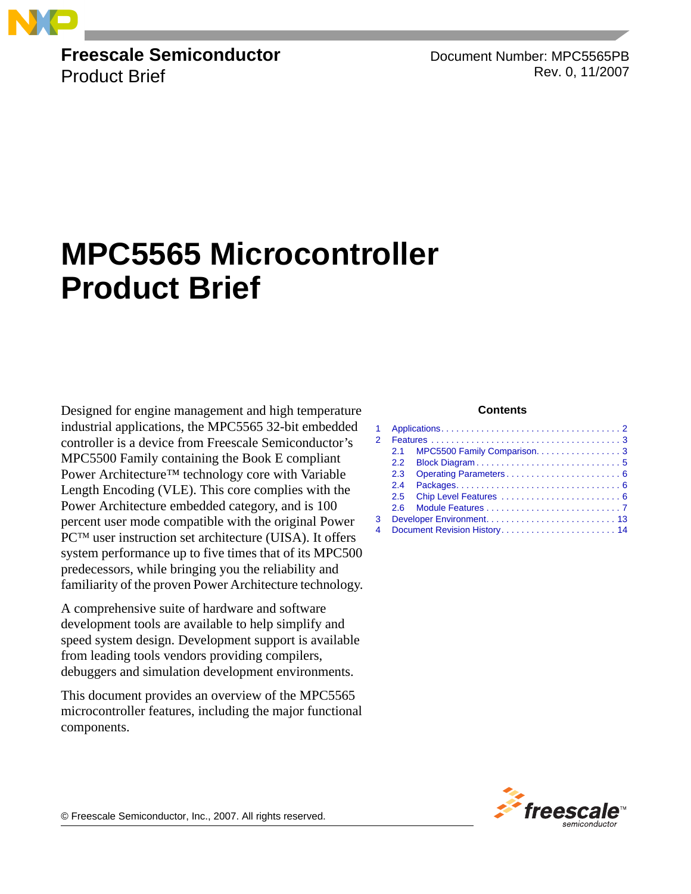

**Freescale Semiconductor** Product Brief

Document Number: MPC5565PB Rev. 0, 11/2007

# **MPC5565 Microcontroller Product Brief**

Designed for engine management and high temperature industrial applications, the MPC5565 32-bit embedded controller is a device from Freescale Semiconductor's MPC5500 Family containing the Book E compliant Power Architecture™ technology core with Variable Length Encoding (VLE). This core complies with the Power Architecture embedded category, and is 100 percent user mode compatible with the original Power PC™ user instruction set architecture (UISA). It offers system performance up to five times that of its MPC500 predecessors, while bringing you the reliability and familiarity of the proven Power Architecture technology.

A comprehensive suite of hardware and software development tools are available to help simplify and speed system design. Development support is available from leading tools vendors providing compilers, debuggers and simulation development environments.

This document provides an overview of the MPC5565 microcontroller features, including the major functional components.

#### **Contents**

| 1. |         |                              |
|----|---------|------------------------------|
| 2. |         |                              |
|    | $2.1 -$ | MPC5500 Family Comparison. 3 |
|    |         |                              |
|    | 2.3     |                              |
|    | 2.4     |                              |
|    |         |                              |
|    | 26      |                              |
| 3  |         |                              |
| 4  |         | Document Revision History 14 |



© Freescale Semiconductor, Inc., 2007. All rights reserved.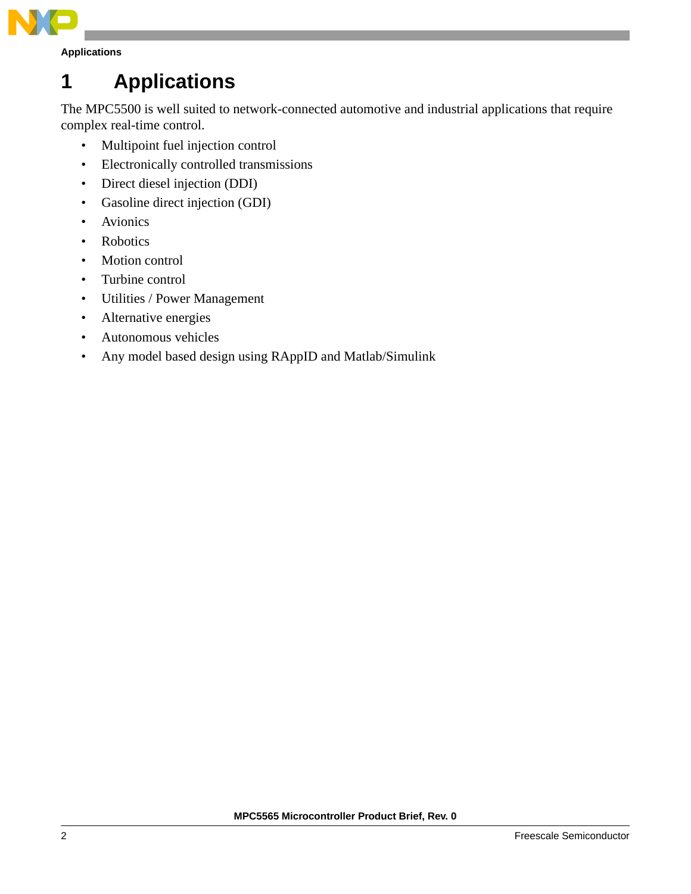

# <span id="page-1-0"></span>**1 Applications**

The MPC5500 is well suited to network-connected automotive and industrial applications that require complex real-time control.

- Multipoint fuel injection control
- Electronically controlled transmissions
- Direct diesel injection (DDI)
- Gasoline direct injection (GDI)
- Avionics
- Robotics
- Motion control
- Turbine control
- Utilities / Power Management
- Alternative energies
- Autonomous vehicles
- Any model based design using RAppID and Matlab/Simulink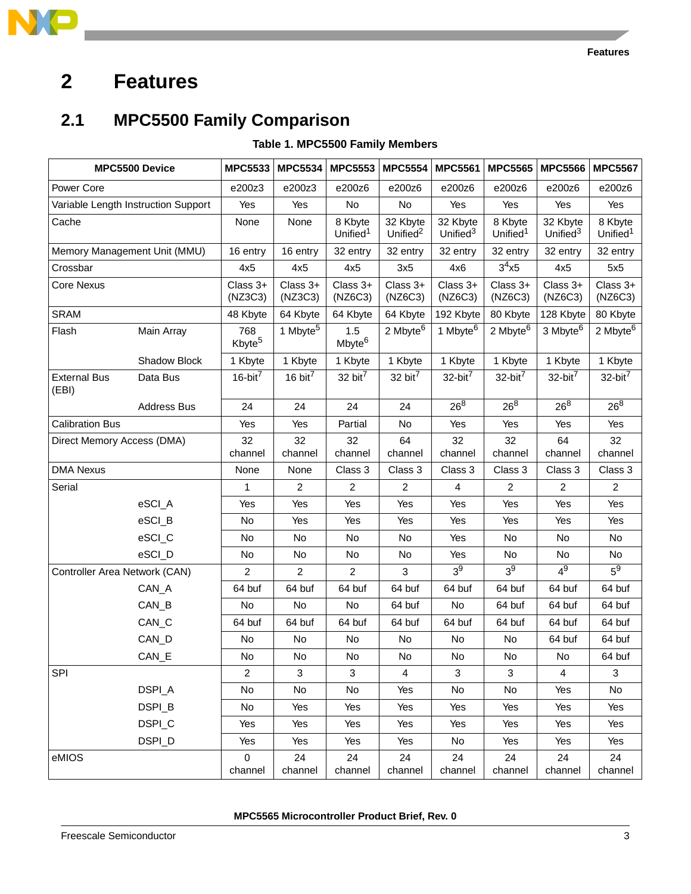

# <span id="page-2-1"></span><span id="page-2-0"></span>**2.1 MPC5500 Family Comparison**

#### **Table 1. MPC5500 Family Members**

| <b>MPC5500 Device</b>               |                    | <b>MPC5533</b>            | <b>MPC5534</b>       | <b>MPC5553</b>                  | <b>MPC5554</b>                   | <b>MPC5561</b>                   | <b>MPC5565</b>                  | <b>MPC5566</b>                   | <b>MPC5567</b>                  |
|-------------------------------------|--------------------|---------------------------|----------------------|---------------------------------|----------------------------------|----------------------------------|---------------------------------|----------------------------------|---------------------------------|
| Power Core                          |                    | e200z3                    | e200z3               | e200z6                          | e200z6                           | e200z6                           | e200z6                          | e200z6                           | e200z6                          |
| Variable Length Instruction Support |                    | Yes                       | Yes                  | No                              | No                               | Yes                              | Yes                             | Yes                              | Yes                             |
| Cache                               |                    | None                      | None                 | 8 Kbyte<br>Unified <sup>1</sup> | 32 Kbyte<br>Unified <sup>2</sup> | 32 Kbyte<br>Unified <sup>3</sup> | 8 Kbyte<br>Unified <sup>1</sup> | 32 Kbyte<br>Unified <sup>3</sup> | 8 Kbyte<br>Unified <sup>1</sup> |
| Memory Management Unit (MMU)        |                    | 16 entry                  | 16 entry             | 32 entry                        | 32 entry                         | 32 entry                         | 32 entry                        | 32 entry                         | 32 entry                        |
| Crossbar                            |                    | 4x5                       | 4x5                  | 4x5                             | 3x5                              | 4x6                              | $34$ x5                         | 4x5                              | 5x5                             |
| <b>Core Nexus</b>                   |                    | Class 3+<br>(NZ3C3)       | Class 3+<br>(NZ3C3)  | Class 3+<br>(NZ6C3)             | Class 3+<br>(NZ6C3)              | Class 3+<br>(NZ6C3)              | Class 3+<br>(NZ6C3)             | Class 3+<br>(NZ6C3)              | Class 3+<br>(NZ6C3)             |
| <b>SRAM</b>                         |                    | 48 Kbyte                  | 64 Kbyte             | 64 Kbyte                        | 64 Kbyte                         | 192 Kbyte                        | 80 Kbyte                        | 128 Kbyte                        | 80 Kbyte                        |
| Flash                               | Main Array         | 768<br>Kbyte <sup>5</sup> | 1 Mbyte <sup>5</sup> | 1.5<br>Mbyte <sup>6</sup>       | 2 Mbyte <sup>6</sup>             | 1 Mbyte <sup>6</sup>             | 2 Mbyte <sup>6</sup>            | 3 Mbyte <sup>6</sup>             | 2 Mbyte <sup>6</sup>            |
|                                     | Shadow Block       | 1 Kbyte                   | 1 Kbyte              | 1 Kbyte                         | 1 Kbyte                          | 1 Kbyte                          | 1 Kbyte                         | 1 Kbyte                          | 1 Kbyte                         |
| <b>External Bus</b><br>(EBI)        | Data Bus           | $16$ -bit $^7$            | 16 bit <sup>7</sup>  | $32$ bit <sup>7</sup>           | $32$ bit <sup>7</sup>            | $32$ -bit <sup>7</sup>           | $32$ -bit <sup>7</sup>          | $32$ -bit <sup>7</sup>           | $32-bit7$                       |
|                                     | <b>Address Bus</b> | 24                        | 24                   | 24                              | 24                               | $26^{8}$                         | $26^8$                          | $26^{8}$                         | $26^8$                          |
| <b>Calibration Bus</b>              |                    | Yes                       | Yes                  | Partial                         | No                               | Yes                              | Yes                             | Yes                              | Yes                             |
| Direct Memory Access (DMA)          |                    | 32<br>channel             | 32<br>channel        | 32<br>channel                   | 64<br>channel                    | 32<br>channel                    | 32<br>channel                   | 64<br>channel                    | 32<br>channel                   |
| <b>DMA Nexus</b>                    |                    | None                      | None                 | Class 3                         | Class 3                          | Class 3                          | Class 3                         | Class 3                          | Class 3                         |
| Serial                              |                    | 1                         | $\overline{2}$       | $\overline{2}$                  | $\overline{c}$                   | 4                                | $\overline{2}$                  | $\overline{2}$                   | $\overline{2}$                  |
|                                     | eSCI_A             | Yes                       | Yes                  | Yes                             | Yes                              | Yes                              | Yes                             | Yes                              | Yes                             |
|                                     | eSCI_B             | No                        | Yes                  | Yes                             | Yes                              | Yes                              | Yes                             | Yes                              | Yes                             |
|                                     | eSCI_C             | No                        | No                   | No                              | No                               | Yes                              | No                              | No                               | No                              |
|                                     | eSCI_D             | No                        | No                   | No                              | No                               | Yes                              | No                              | No                               | No                              |
| Controller Area Network (CAN)       |                    | $\overline{2}$            | $\overline{2}$       | $\overline{2}$                  | 3                                | 3 <sup>9</sup>                   | 3 <sup>9</sup>                  | 4 <sup>9</sup>                   | 5 <sup>9</sup>                  |
|                                     | CAN_A              | 64 buf                    | 64 buf               | 64 buf                          | 64 buf                           | 64 buf                           | 64 buf                          | 64 buf                           | 64 buf                          |
|                                     | CAN_B              | No                        | No                   | No                              | 64 buf                           | No                               | 64 buf                          | 64 buf                           | 64 buf                          |
|                                     | CAN_C              | 64 buf                    | 64 buf               | 64 buf                          | 64 buf                           | 64 buf                           | 64 buf                          | 64 buf                           | 64 buf                          |
|                                     | CAN_D              | No                        | No                   | No                              | No                               | No                               | No                              | 64 buf                           | 64 buf                          |
|                                     | CAN_E              | No                        | No                   | No                              | No                               | No                               | No                              | No                               | 64 buf                          |
| SPI                                 |                    | $\overline{c}$            | $\mathbf{3}$         | $\mathbf{3}$                    | 4                                | 3                                | 3                               | 4                                | 3                               |
|                                     | DSPI_A             | No                        | No                   | No                              | Yes                              | No                               | No                              | Yes                              | No                              |
|                                     | DSPI_B             | No                        | Yes                  | Yes                             | Yes                              | Yes                              | Yes                             | Yes                              | Yes                             |
|                                     | DSPI_C             | Yes                       | Yes                  | Yes                             | Yes                              | Yes                              | Yes                             | Yes                              | Yes                             |
|                                     | DSPI_D             | Yes                       | Yes                  | Yes                             | Yes                              | No                               | Yes                             | Yes                              | Yes                             |
| eMIOS                               |                    | $\mathbf 0$<br>channel    | 24<br>channel        | 24<br>channel                   | 24<br>channel                    | 24<br>channel                    | 24<br>channel                   | 24<br>channel                    | 24<br>channel                   |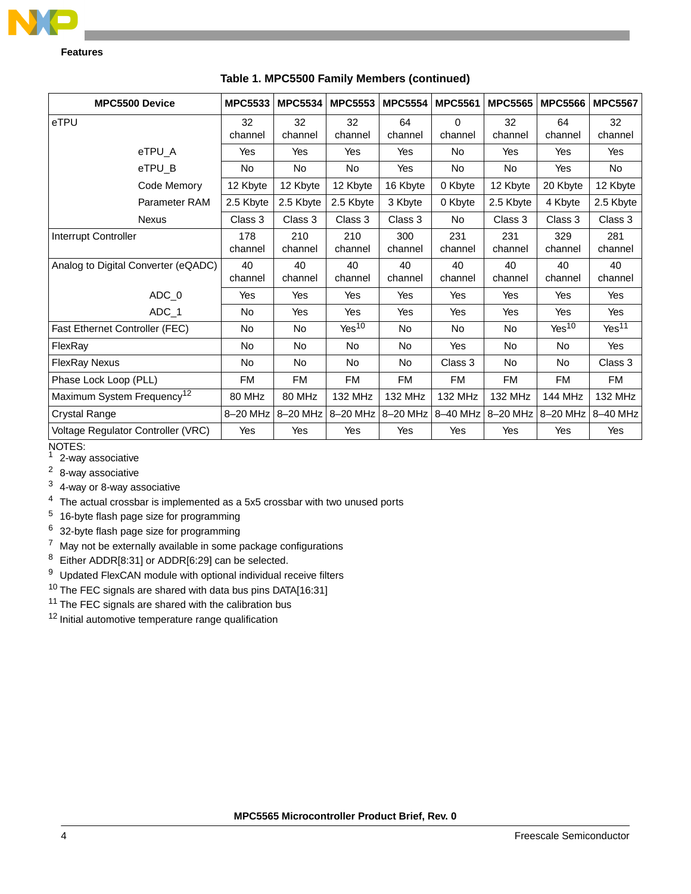

**Features**

| <b>MPC5500 Device</b>                  | <b>MPC5533</b> | <b>MPC5534</b> | <b>MPC5553</b>        | <b>MPC5554</b> | <b>MPC5561</b>         | <b>MPC5565</b> | <b>MPC5566</b>    | <b>MPC5567</b>    |
|----------------------------------------|----------------|----------------|-----------------------|----------------|------------------------|----------------|-------------------|-------------------|
| eTPU                                   | 32<br>channel  | 32<br>channel  | 32<br>channel         | 64<br>channel  | $\mathbf 0$<br>channel | 32<br>channel  | 64<br>channel     | 32<br>channel     |
| eTPU_A                                 | Yes            | Yes            | Yes                   | Yes            | No                     | Yes            | Yes               | Yes               |
| eTPU_B                                 | No.            | No             | No.                   | Yes            | No                     | No             | Yes               | No                |
| Code Memory                            | 12 Kbyte       | 12 Kbyte       | 12 Kbyte              | 16 Kbyte       | 0 Kbyte                | 12 Kbyte       | 20 Kbyte          | 12 Kbyte          |
| Parameter RAM                          | 2.5 Kbyte      | 2.5 Kbyte      | 2.5 Kbyte             | 3 Kbyte        | 0 Kbyte                | 2.5 Kbyte      | 4 Kbyte           | 2.5 Kbyte         |
| Nexus                                  | Class 3        | Class 3        | Class 3               | Class 3        | No                     | Class 3        | Class 3           | Class 3           |
| Interrupt Controller                   | 178<br>channel | 210<br>channel | 210<br>channel        | 300<br>channel | 231<br>channel         | 231<br>channel | 329<br>channel    | 281<br>channel    |
| Analog to Digital Converter (eQADC)    | 40<br>channel  | 40<br>channel  | 40<br>channel         | 40<br>channel  | 40<br>channel          | 40<br>channel  | 40<br>channel     | 40<br>channel     |
| ADC_0                                  | Yes            | Yes            | Yes                   | Yes            | Yes                    | Yes            | Yes               | Yes               |
| $ADC_1$                                | No             | Yes            | Yes                   | Yes            | Yes                    | Yes            | Yes               | Yes               |
| Fast Ethernet Controller (FEC)         | <b>No</b>      | No             | $Yes^{\overline{10}}$ | No             | No                     | No             | Yes <sup>10</sup> | Yes <sup>11</sup> |
| FlexRay                                | <b>No</b>      | No             | <b>No</b>             | No             | Yes                    | No             | <b>No</b>         | Yes               |
| <b>FlexRay Nexus</b>                   | No.            | No             | No.                   | <b>No</b>      | Class 3                | No             | No.               | Class 3           |
| Phase Lock Loop (PLL)                  | FM             | <b>FM</b>      | <b>FM</b>             | FM             | <b>FM</b>              | FM             | FM                | FM                |
| Maximum System Frequency <sup>12</sup> | 80 MHz         | 80 MHz         | <b>132 MHz</b>        | 132 MHz        | <b>132 MHz</b>         | 132 MHz        | 144 MHz           | 132 MHz           |
| <b>Crystal Range</b>                   | 8-20 MHz       | 8-20 MHz       | 8-20 MHz              | 8-20 MHz       | 8-40 MHz               | 8-20 MHz       | 8-20 MHz          | 8-40 MHz          |
| Voltage Regulator Controller (VRC)     | Yes            | Yes            | Yes                   | Yes            | Yes                    | Yes            | Yes               | Yes               |

#### **Table 1. MPC5500 Family Members (continued)**

NOTES:

2-way associative

<sup>2</sup> 8-way associative

<sup>3</sup> 4-way or 8-way associative

<sup>4</sup> The actual crossbar is implemented as a 5x5 crossbar with two unused ports

<sup>5</sup> 16-byte flash page size for programming

<sup>6</sup> 32-byte flash page size for programming

<sup>7</sup> May not be externally available in some package configurations

<sup>8</sup> Either ADDR[8:31] or ADDR[6:29] can be selected.

<sup>9</sup> Updated FlexCAN module with optional individual receive filters

<sup>10</sup> The FEC signals are shared with data bus pins DATA[16:31]

<sup>11</sup> The FEC signals are shared with the calibration bus

<sup>12</sup> Initial automotive temperature range qualification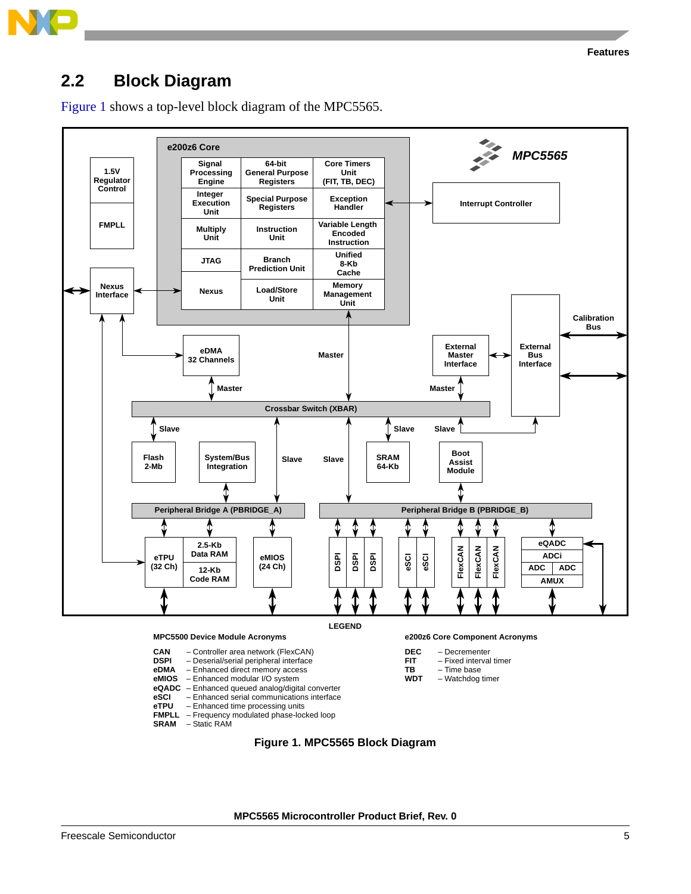

#### <span id="page-4-0"></span>**2.2 Block Diagram**

Figure 1 shows a top-level block diagram of the MPC5565.



#### **MPC5500 Device Module Acronyms**

- **CAN** Controller area network (FlexCAN)<br>**DSPI** Deserial/serial peripheral interface
- **DSPI** Deserial/serial peripheral interface<br>**eDMA** Enhanced direct memory access
- **eDMA** Enhanced direct memory access
- **eMIOS** Enhanced modular I/O system
- **eQADC** Enhanced queued analog/digital converter<br>**eSCI** Enhanced serial communications interface
- **eSCI** Enhanced serial communications interface<br>**eTPU** Enhanced time processing units  $-$  Enhanced time processing units
- **FMPLL** Frequency modulated phase-locked loop
- **SRAM** Static RAM

#### **Figure 1. MPC5565 Block Diagram**

**e200z6 Core Component Acronyms**

- Watchdog timer

**DEC** – Decrementer<br>**FIT** – Fixed interval **FIT** – Fixed interval timer<br>**TB** – Time base **TB** – Time base<br>**WDT** – Watchdog

**MPC5565 Microcontroller Product Brief, Rev. 0**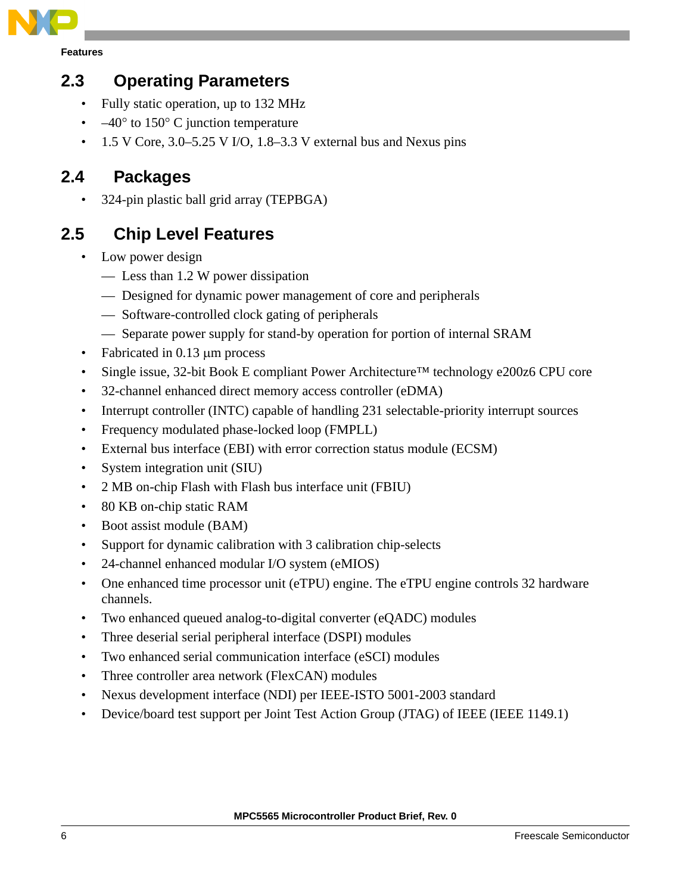

## <span id="page-5-0"></span>**2.3 Operating Parameters**

- Fully static operation, up to 132 MHz
- $-40^{\circ}$  to 150° C junction temperature
- $\cdot$  1.5 V Core, 3.0–5.25 V I/O, 1.8–3.3 V external bus and Nexus pins

## <span id="page-5-1"></span>**2.4 Packages**

• 324-pin plastic ball grid array (TEPBGA)

## <span id="page-5-2"></span>**2.5 Chip Level Features**

- Low power design
	- Less than 1.2 W power dissipation
	- Designed for dynamic power management of core and peripherals
	- Software-controlled clock gating of peripherals
	- Separate power supply for stand-by operation for portion of internal SRAM
- Fabricated in 0.13 μm process
- Single issue, 32-bit Book E compliant Power Architecture™ technology e200z6 CPU core
- 32-channel enhanced direct memory access controller (eDMA)
- Interrupt controller (INTC) capable of handling 231 selectable-priority interrupt sources
- Frequency modulated phase-locked loop (FMPLL)
- External bus interface (EBI) with error correction status module (ECSM)
- System integration unit (SIU)
- 2 MB on-chip Flash with Flash bus interface unit (FBIU)
- 80 KB on-chip static RAM
- Boot assist module (BAM)
- Support for dynamic calibration with 3 calibration chip-selects
- 24-channel enhanced modular I/O system (eMIOS)
- One enhanced time processor unit (eTPU) engine. The eTPU engine controls 32 hardware channels.
- Two enhanced queued analog-to-digital converter (eQADC) modules
- Three deserial serial peripheral interface (DSPI) modules
- Two enhanced serial communication interface (eSCI) modules
- Three controller area network (FlexCAN) modules
- Nexus development interface (NDI) per IEEE-ISTO 5001-2003 standard
- Device/board test support per Joint Test Action Group (JTAG) of IEEE (IEEE 1149.1)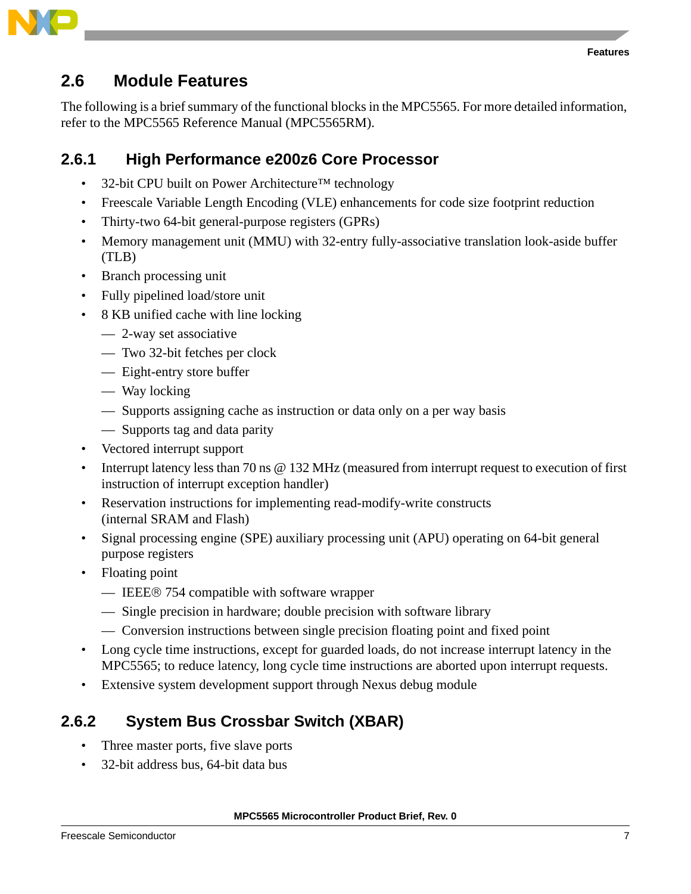

#### <span id="page-6-0"></span>**2.6 Module Features**

The following is a brief summary of the functional blocks in the MPC5565. For more detailed information, refer to the MPC5565 Reference Manual (MPC5565RM).

#### **2.6.1 High Performance e200z6 Core Processor**

- 32-bit CPU built on Power Architecture<sup>TM</sup> technology
- Freescale Variable Length Encoding (VLE) enhancements for code size footprint reduction
- Thirty-two 64-bit general-purpose registers (GPRs)
- Memory management unit (MMU) with 32-entry fully-associative translation look-aside buffer (TLB)
- Branch processing unit
- Fully pipelined load/store unit
- 8 KB unified cache with line locking
	- 2-way set associative
	- Two 32-bit fetches per clock
	- Eight-entry store buffer
	- Way locking
	- Supports assigning cache as instruction or data only on a per way basis
	- Supports tag and data parity
- Vectored interrupt support
- Interrupt latency less than 70 ns @ 132 MHz (measured from interrupt request to execution of first instruction of interrupt exception handler)
- Reservation instructions for implementing read-modify-write constructs (internal SRAM and Flash)
- Signal processing engine (SPE) auxiliary processing unit (APU) operating on 64-bit general purpose registers
- Floating point
	- IEEE® 754 compatible with software wrapper
	- Single precision in hardware; double precision with software library
	- Conversion instructions between single precision floating point and fixed point
- Long cycle time instructions, except for guarded loads, do not increase interrupt latency in the MPC5565; to reduce latency, long cycle time instructions are aborted upon interrupt requests.
- Extensive system development support through Nexus debug module

#### **2.6.2 System Bus Crossbar Switch (XBAR)**

- Three master ports, five slave ports
- 32-bit address bus, 64-bit data bus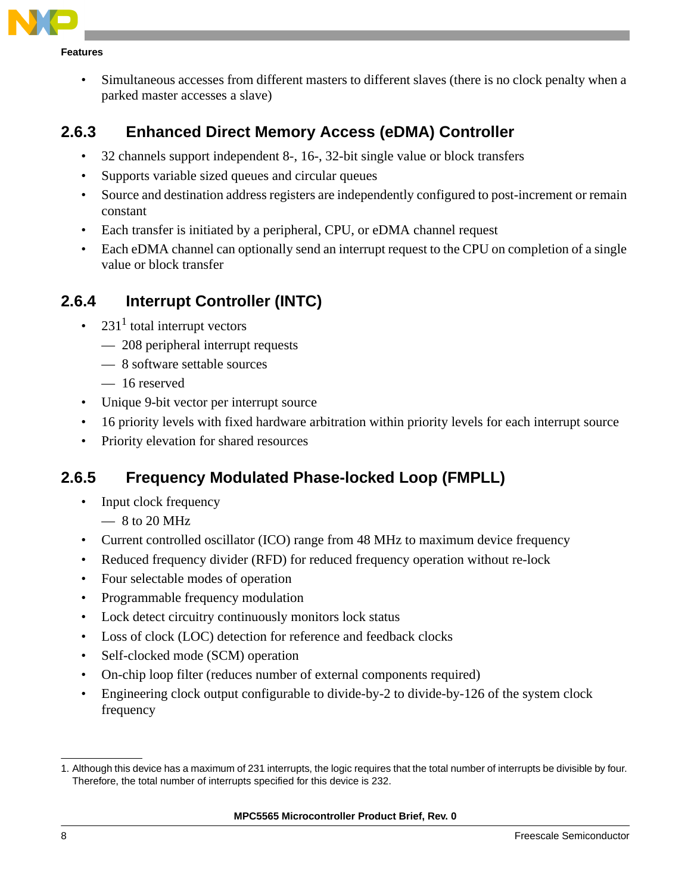

**Features**

• Simultaneous accesses from different masters to different slaves (there is no clock penalty when a parked master accesses a slave)

# **2.6.3 Enhanced Direct Memory Access (eDMA) Controller**

- 32 channels support independent 8-, 16-, 32-bit single value or block transfers
- Supports variable sized queues and circular queues
- Source and destination address registers are independently configured to post-increment or remain constant
- Each transfer is initiated by a peripheral, CPU, or eDMA channel request
- Each eDMA channel can optionally send an interrupt request to the CPU on completion of a single value or block transfer

## **2.6.4 Interrupt Controller (INTC)**

- 231<sup>1</sup> total interrupt vectors
	- 208 peripheral interrupt requests
	- 8 software settable sources
	- 16 reserved
- Unique 9-bit vector per interrupt source
- 16 priority levels with fixed hardware arbitration within priority levels for each interrupt source
- Priority elevation for shared resources

## **2.6.5 Frequency Modulated Phase-locked Loop (FMPLL)**

- Input clock frequency
	- $-8$  to 20 MHz
- Current controlled oscillator (ICO) range from 48 MHz to maximum device frequency
- Reduced frequency divider (RFD) for reduced frequency operation without re-lock
- Four selectable modes of operation
- Programmable frequency modulation
- Lock detect circuitry continuously monitors lock status
- Loss of clock (LOC) detection for reference and feedback clocks
- Self-clocked mode (SCM) operation
- On-chip loop filter (reduces number of external components required)
- Engineering clock output configurable to divide-by-2 to divide-by-126 of the system clock frequency

<sup>1.</sup> Although this device has a maximum of 231 interrupts, the logic requires that the total number of interrupts be divisible by four. Therefore, the total number of interrupts specified for this device is 232.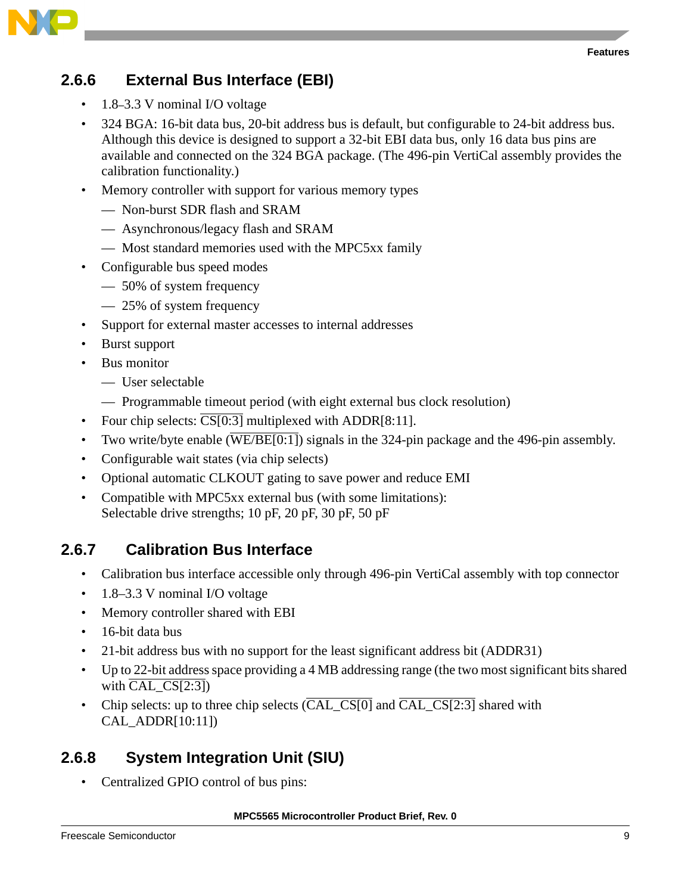

# **2.6.6 External Bus Interface (EBI)**

- 1.8–3.3 V nominal I/O voltage
- 324 BGA: 16-bit data bus, 20-bit address bus is default, but configurable to 24-bit address bus. Although this device is designed to support a 32-bit EBI data bus, only 16 data bus pins are available and connected on the 324 BGA package. (The 496-pin VertiCal assembly provides the calibration functionality.)
- Memory controller with support for various memory types
	- Non-burst SDR flash and SRAM
	- Asynchronous/legacy flash and SRAM
	- Most standard memories used with the MPC5xx family
- Configurable bus speed modes
	- 50% of system frequency
	- 25% of system frequency
- Support for external master accesses to internal addresses
- Burst support
- Bus monitor
	- User selectable
	- Programmable timeout period (with eight external bus clock resolution)
- Four chip selects:  $\overline{CS[0:3]}$  multiplexed with ADDR[8:11].
- Two write/byte enable  $(\overline{WE/BE[0:1]})$  signals in the 324-pin package and the 496-pin assembly.
- Configurable wait states (via chip selects)
- Optional automatic CLKOUT gating to save power and reduce EMI
- Compatible with MPC5xx external bus (with some limitations): Selectable drive strengths; 10 pF, 20 pF, 30 pF, 50 pF

## **2.6.7 Calibration Bus Interface**

- Calibration bus interface accessible only through 496-pin VertiCal assembly with top connector
- 1.8–3.3 V nominal I/O voltage
- Memory controller shared with EBI
- 16-bit data bus
- 21-bit address bus with no support for the least significant address bit (ADDR31)
- Up to 22-bit address space providing a 4 MB addressing range (the two most significant bits shared with  $\overline{\text{CAL }CS[2:3]}$
- Chip selects: up to three chip selects  $\overline{CAL\_CS[0]}$  and  $\overline{CAL\_CS[2:3]}$  shared with CAL\_ADDR[10:11])

## **2.6.8 System Integration Unit (SIU)**

• Centralized GPIO control of bus pins: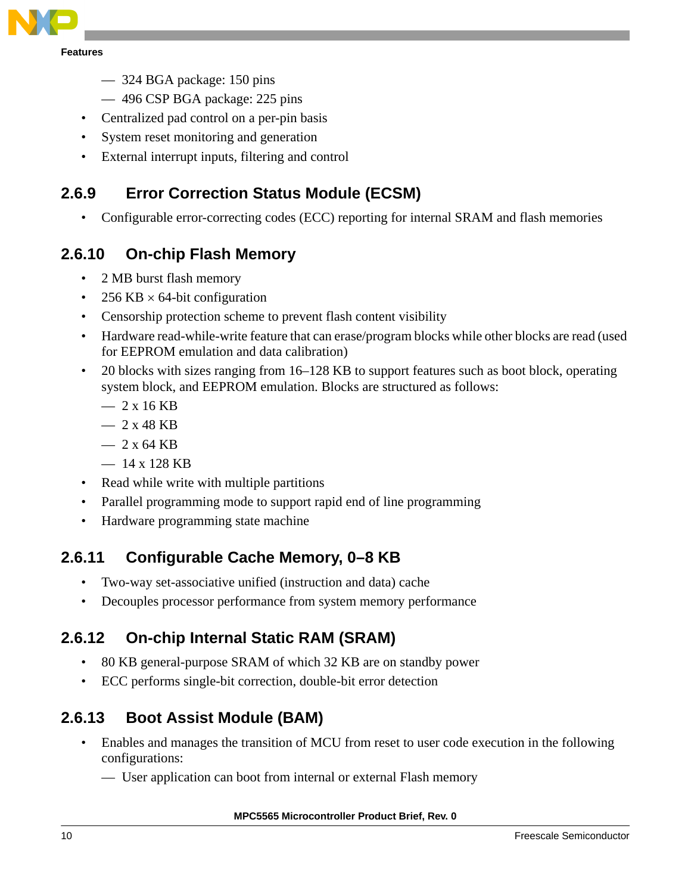

- 324 BGA package: 150 pins
- 496 CSP BGA package: 225 pins
- Centralized pad control on a per-pin basis
- System reset monitoring and generation
- External interrupt inputs, filtering and control

## **2.6.9 Error Correction Status Module (ECSM)**

• Configurable error-correcting codes (ECC) reporting for internal SRAM and flash memories

#### **2.6.10 On-chip Flash Memory**

- 2 MB burst flash memory
- 256 KB  $\times$  64-bit configuration
- Censorship protection scheme to prevent flash content visibility
- Hardware read-while-write feature that can erase/program blocks while other blocks are read (used for EEPROM emulation and data calibration)
- 20 blocks with sizes ranging from 16–128 KB to support features such as boot block, operating system block, and EEPROM emulation. Blocks are structured as follows:
	- $-2x16KB$
	- $-2x48$  KB
	- $-2x$  64 KB
	- $-14 \times 128$  KB
- Read while write with multiple partitions
- Parallel programming mode to support rapid end of line programming
- Hardware programming state machine

## **2.6.11 Configurable Cache Memory, 0–8 KB**

- Two-way set-associative unified (instruction and data) cache
- Decouples processor performance from system memory performance

# **2.6.12 On-chip Internal Static RAM (SRAM)**

- 80 KB general-purpose SRAM of which 32 KB are on standby power
- ECC performs single-bit correction, double-bit error detection

## **2.6.13 Boot Assist Module (BAM)**

- Enables and manages the transition of MCU from reset to user code execution in the following configurations:
	- User application can boot from internal or external Flash memory

#### **MPC5565 Microcontroller Product Brief, Rev. 0**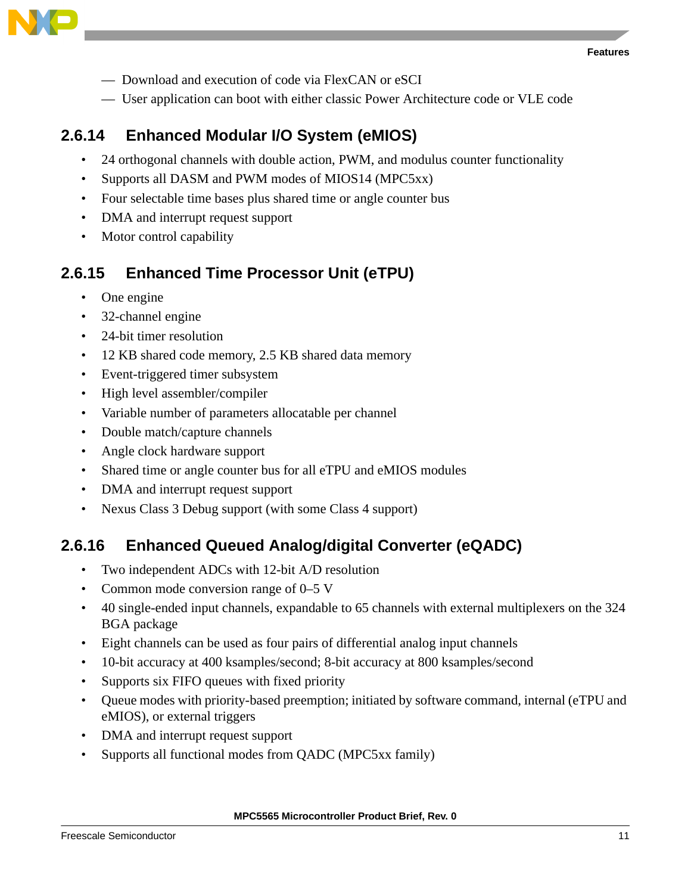

- Download and execution of code via FlexCAN or eSCI
- User application can boot with either classic Power Architecture code or VLE code

#### **2.6.14 Enhanced Modular I/O System (eMIOS)**

- 24 orthogonal channels with double action, PWM, and modulus counter functionality
- Supports all DASM and PWM modes of MIOS14 (MPC5xx)
- Four selectable time bases plus shared time or angle counter bus
- DMA and interrupt request support
- Motor control capability

#### **2.6.15 Enhanced Time Processor Unit (eTPU)**

- One engine
- 32-channel engine
- 24-bit timer resolution
- 12 KB shared code memory, 2.5 KB shared data memory
- Event-triggered timer subsystem
- High level assembler/compiler
- Variable number of parameters allocatable per channel
- Double match/capture channels
- Angle clock hardware support
- Shared time or angle counter bus for all eTPU and eMIOS modules
- DMA and interrupt request support
- Nexus Class 3 Debug support (with some Class 4 support)

#### **2.6.16 Enhanced Queued Analog/digital Converter (eQADC)**

- Two independent ADCs with 12-bit A/D resolution
- Common mode conversion range of 0–5 V
- 40 single-ended input channels, expandable to 65 channels with external multiplexers on the 324 BGA package
- Eight channels can be used as four pairs of differential analog input channels
- 10-bit accuracy at 400 ksamples/second; 8-bit accuracy at 800 ksamples/second
- Supports six FIFO queues with fixed priority
- Queue modes with priority-based preemption; initiated by software command, internal (eTPU and eMIOS), or external triggers
- DMA and interrupt request support
- Supports all functional modes from QADC (MPC5xx family)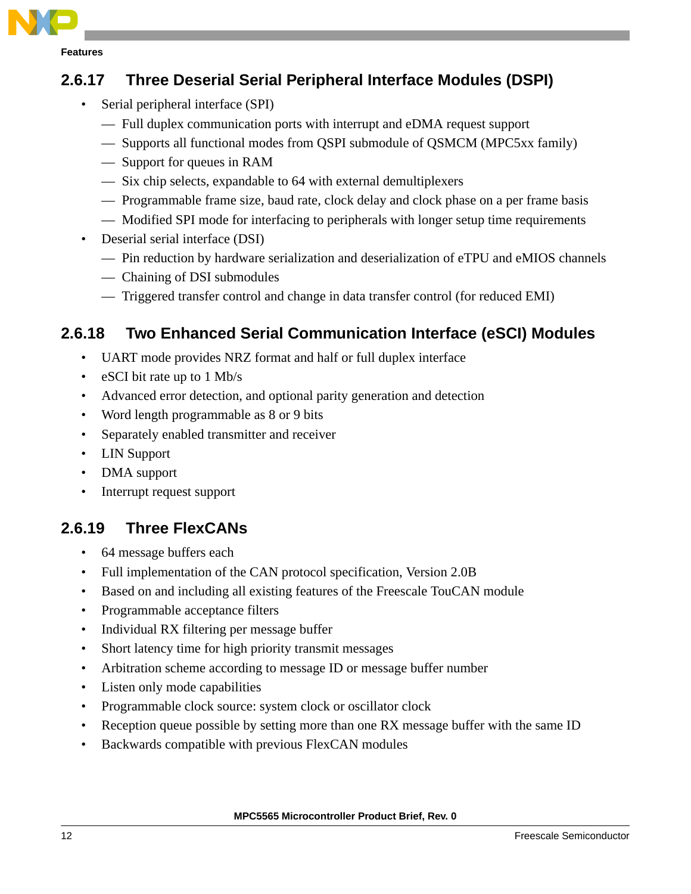

**Features**

## **2.6.17 Three Deserial Serial Peripheral Interface Modules (DSPI)**

- Serial peripheral interface (SPI)
	- Full duplex communication ports with interrupt and eDMA request support
	- Supports all functional modes from QSPI submodule of QSMCM (MPC5xx family)
	- Support for queues in RAM
	- Six chip selects, expandable to 64 with external demultiplexers
	- Programmable frame size, baud rate, clock delay and clock phase on a per frame basis
	- Modified SPI mode for interfacing to peripherals with longer setup time requirements
- Deserial serial interface (DSI)
	- Pin reduction by hardware serialization and deserialization of eTPU and eMIOS channels
	- Chaining of DSI submodules
	- Triggered transfer control and change in data transfer control (for reduced EMI)

#### **2.6.18 Two Enhanced Serial Communication Interface (eSCI) Modules**

- UART mode provides NRZ format and half or full duplex interface
- eSCI bit rate up to 1 Mb/s
- Advanced error detection, and optional parity generation and detection
- Word length programmable as 8 or 9 bits
- Separately enabled transmitter and receiver
- LIN Support
- DMA support
- Interrupt request support

## **2.6.19 Three FlexCANs**

- 64 message buffers each
- Full implementation of the CAN protocol specification, Version 2.0B
- Based on and including all existing features of the Freescale TouCAN module
- Programmable acceptance filters
- Individual RX filtering per message buffer
- Short latency time for high priority transmit messages
- Arbitration scheme according to message ID or message buffer number
- Listen only mode capabilities
- Programmable clock source: system clock or oscillator clock
- Reception queue possible by setting more than one RX message buffer with the same ID
- Backwards compatible with previous FlexCAN modules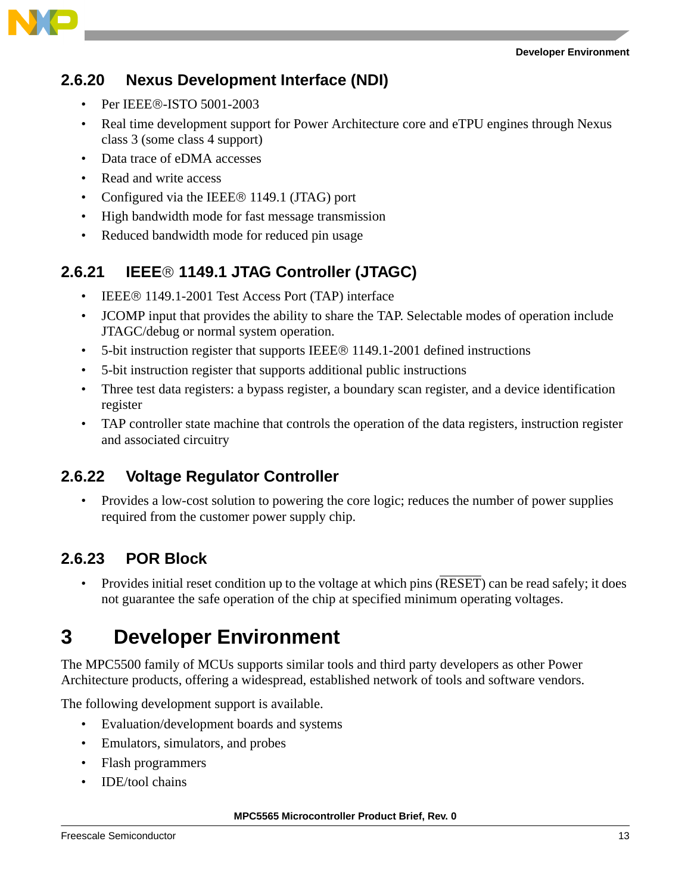

#### **2.6.20 Nexus Development Interface (NDI)**

- Per IEEE®-ISTO 5001-2003
- Real time development support for Power Architecture core and eTPU engines through Nexus class 3 (some class 4 support)
- Data trace of eDMA accesses
- Read and write access
- Configured via the IEEE® 1149.1 (JTAG) port
- High bandwidth mode for fast message transmission
- Reduced bandwidth mode for reduced pin usage

#### **2.6.21 IEEE**® **1149.1 JTAG Controller (JTAGC)**

- IEEE® 1149.1-2001 Test Access Port (TAP) interface
- JCOMP input that provides the ability to share the TAP. Selectable modes of operation include JTAGC/debug or normal system operation.
- 5-bit instruction register that supports IEEE® 1149.1-2001 defined instructions
- 5-bit instruction register that supports additional public instructions
- Three test data registers: a bypass register, a boundary scan register, and a device identification register
- TAP controller state machine that controls the operation of the data registers, instruction register and associated circuitry

#### **2.6.22 Voltage Regulator Controller**

• Provides a low-cost solution to powering the core logic; reduces the number of power supplies required from the customer power supply chip.

#### **2.6.23 POR Block**

• Provides initial reset condition up to the voltage at which pins (RESET) can be read safely; it does not guarantee the safe operation of the chip at specified minimum operating voltages.

# <span id="page-12-0"></span>**3 Developer Environment**

The MPC5500 family of MCUs supports similar tools and third party developers as other Power Architecture products, offering a widespread, established network of tools and software vendors.

The following development support is available.

- Evaluation/development boards and systems
- Emulators, simulators, and probes
- Flash programmers
- **IDE/tool** chains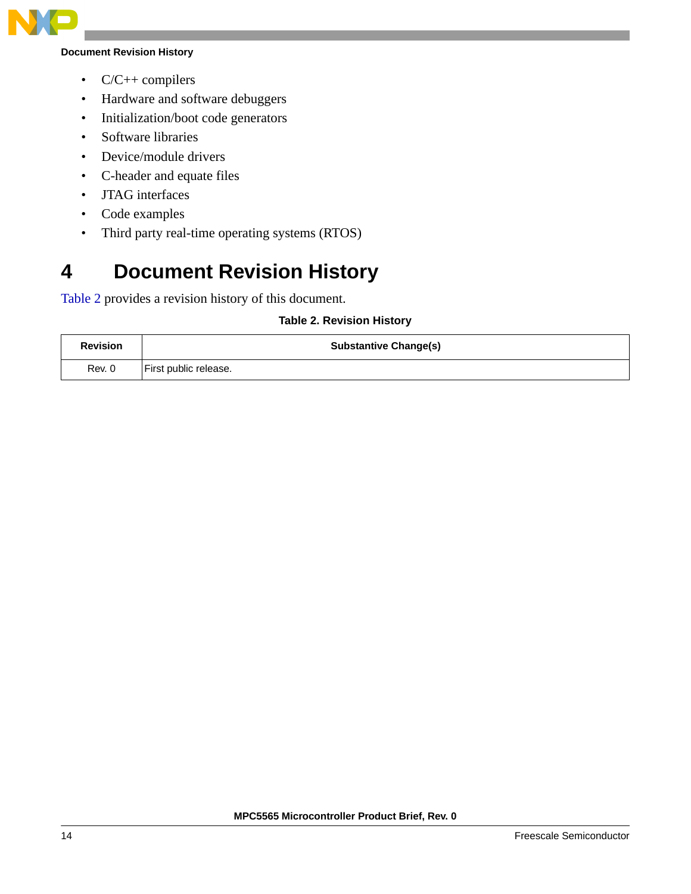

#### **Document Revision History**

- C/C++ compilers
- Hardware and software debuggers
- Initialization/boot code generators
- Software libraries
- Device/module drivers
- C-header and equate files
- JTAG interfaces
- Code examples
- Third party real-time operating systems (RTOS)

# <span id="page-13-0"></span>**4 Document Revision History**

Table 2 provides a revision history of this document.

#### **Table 2. Revision History**

| <b>Revision</b> | <b>Substantive Change(s)</b> |
|-----------------|------------------------------|
| Rev. 0          | First public release.        |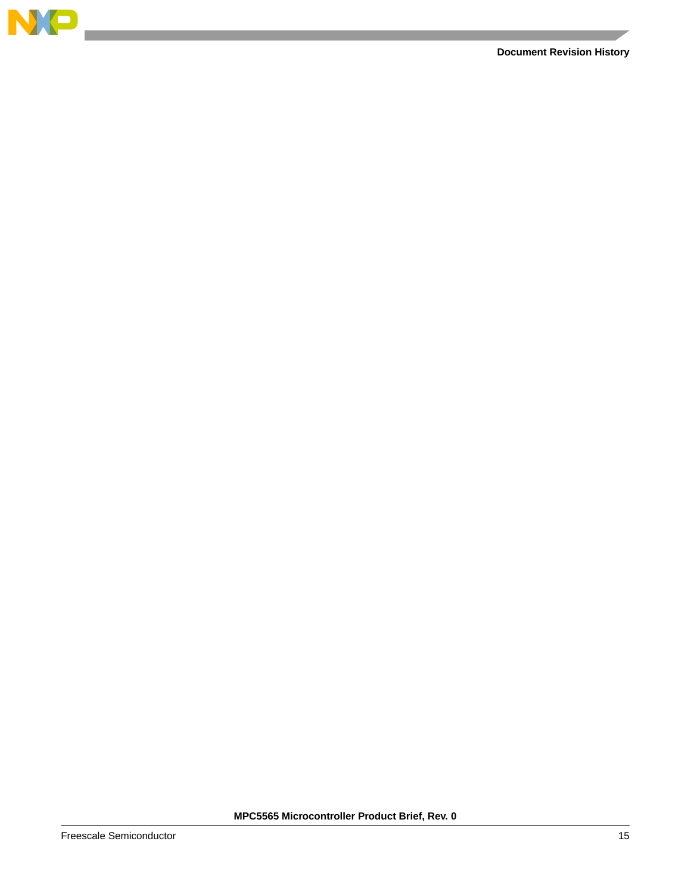

**Document Revision History**